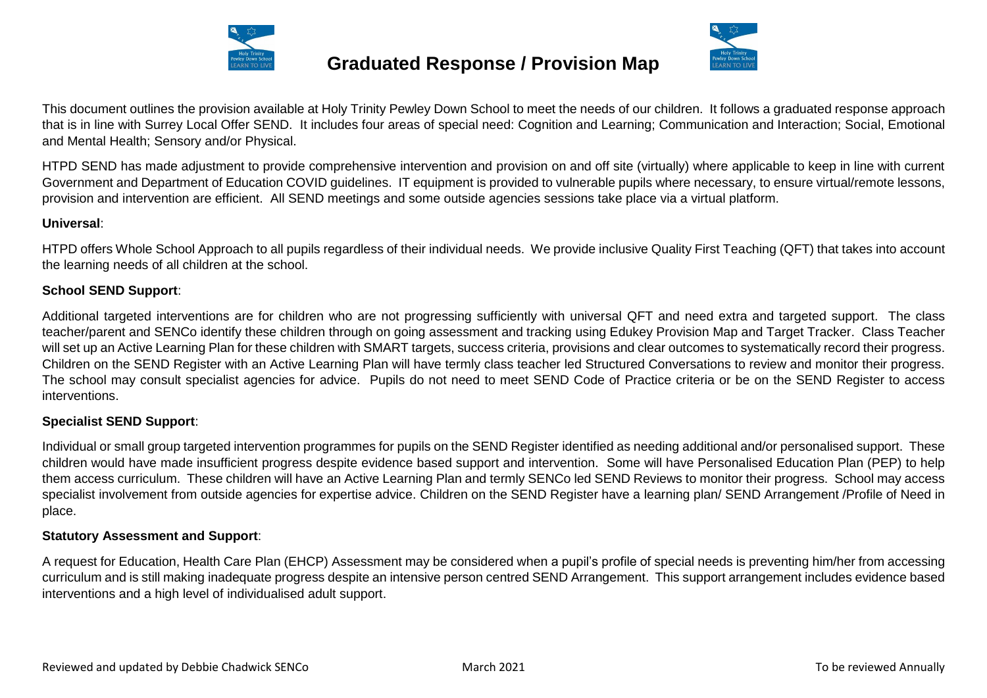

## **Graduated Response / Provision Map**



This document outlines the provision available at Holy Trinity Pewley Down School to meet the needs of our children. It follows a graduated response approach that is in line with Surrey Local Offer SEND. It includes four areas of special need: Cognition and Learning: Communication and Interaction: Social, Emotional and Mental Health; Sensory and/or Physical.

HTPD SEND has made adjustment to provide comprehensive intervention and provision on and off site (virtually) where applicable to keep in line with current Government and Department of Education COVID guidelines. IT equipment is provided to vulnerable pupils where necessary, to ensure virtual/remote lessons, provision and intervention are efficient. All SEND meetings and some outside agencies sessions take place via a virtual platform.

#### **Universal**:

HTPD offers Whole School Approach to all pupils regardless of their individual needs. We provide inclusive Quality First Teaching (QFT) that takes into account the learning needs of all children at the school.

#### **School SEND Support**:

Additional targeted interventions are for children who are not progressing sufficiently with universal QFT and need extra and targeted support. The class teacher/parent and SENCo identify these children through on going assessment and tracking using Edukey Provision Map and Target Tracker. Class Teacher will set up an Active Learning Plan for these children with SMART targets, success criteria, provisions and clear outcomes to systematically record their progress. Children on the SEND Register with an Active Learning Plan will have termly class teacher led Structured Conversations to review and monitor their progress. The school may consult specialist agencies for advice. Pupils do not need to meet SEND Code of Practice criteria or be on the SEND Register to access interventions.

#### **Specialist SEND Support**:

Individual or small group targeted intervention programmes for pupils on the SEND Register identified as needing additional and/or personalised support. These children would have made insufficient progress despite evidence based support and intervention. Some will have Personalised Education Plan (PEP) to help them access curriculum. These children will have an Active Learning Plan and termly SENCo led SEND Reviews to monitor their progress. School may access specialist involvement from outside agencies for expertise advice. Children on the SEND Register have a learning plan/ SEND Arrangement /Profile of Need in place.

#### **Statutory Assessment and Support**:

A request for Education, Health Care Plan (EHCP) Assessment may be considered when a pupil's profile of special needs is preventing him/her from accessing curriculum and is still making inadequate progress despite an intensive person centred SEND Arrangement. This support arrangement includes evidence based interventions and a high level of individualised adult support.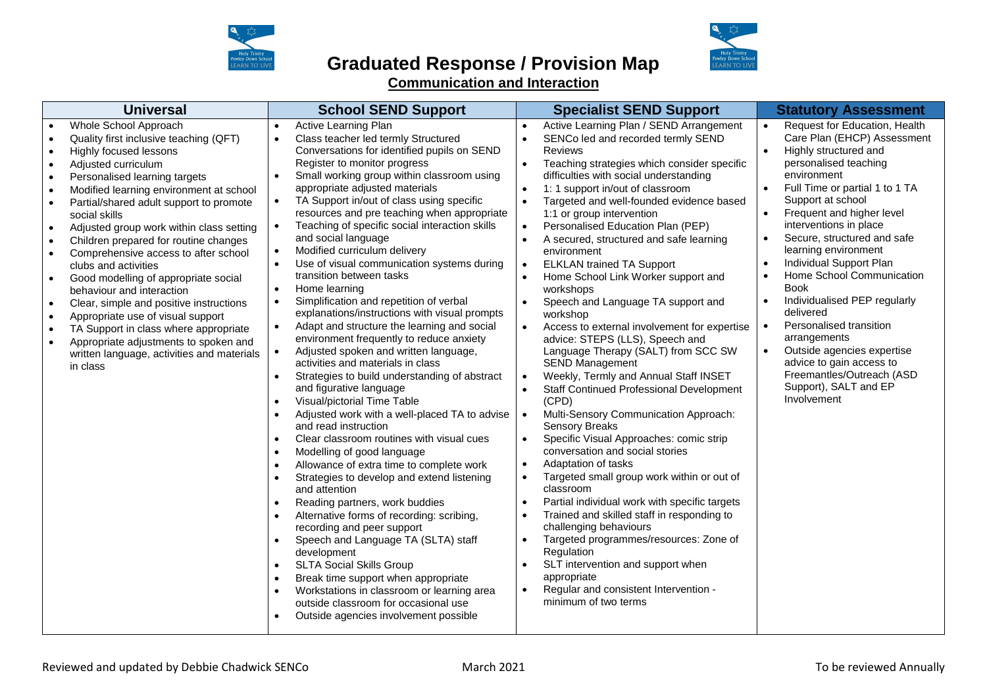

### **Graduated Response / Provision Map Communication and Interaction**



| <b>Universal</b>                                                                                                                                                                                                                                                                                                                                                                                                                                                                                                                                                                                                                                                                                               | <b>School SEND Support</b>                                                                                                                                                                                                                                                                                                                                                                                                                                                                                                                                                                                                                                                                                                                                                                                                                                                                                                                                                                                                                                                                                                                                                                                                                                                                                                                                                                                                                                                                                                                                                                                                                                                                                                                             | <b>Specialist SEND Support</b>                                                                                                                                                                                                                                                                                                                                                                                                                                                                                                                                                                                                                                                                                                                                                                                                                                                                                                                                                                                                                                                                                                                                                                                                                                                                                                                                                                                                                                                                                                                                                                                      | <b>Statutory Assessment</b>                                                                                                                                                                                                                                                                                                                                                                                                                                                                                                                                                                                   |
|----------------------------------------------------------------------------------------------------------------------------------------------------------------------------------------------------------------------------------------------------------------------------------------------------------------------------------------------------------------------------------------------------------------------------------------------------------------------------------------------------------------------------------------------------------------------------------------------------------------------------------------------------------------------------------------------------------------|--------------------------------------------------------------------------------------------------------------------------------------------------------------------------------------------------------------------------------------------------------------------------------------------------------------------------------------------------------------------------------------------------------------------------------------------------------------------------------------------------------------------------------------------------------------------------------------------------------------------------------------------------------------------------------------------------------------------------------------------------------------------------------------------------------------------------------------------------------------------------------------------------------------------------------------------------------------------------------------------------------------------------------------------------------------------------------------------------------------------------------------------------------------------------------------------------------------------------------------------------------------------------------------------------------------------------------------------------------------------------------------------------------------------------------------------------------------------------------------------------------------------------------------------------------------------------------------------------------------------------------------------------------------------------------------------------------------------------------------------------------|---------------------------------------------------------------------------------------------------------------------------------------------------------------------------------------------------------------------------------------------------------------------------------------------------------------------------------------------------------------------------------------------------------------------------------------------------------------------------------------------------------------------------------------------------------------------------------------------------------------------------------------------------------------------------------------------------------------------------------------------------------------------------------------------------------------------------------------------------------------------------------------------------------------------------------------------------------------------------------------------------------------------------------------------------------------------------------------------------------------------------------------------------------------------------------------------------------------------------------------------------------------------------------------------------------------------------------------------------------------------------------------------------------------------------------------------------------------------------------------------------------------------------------------------------------------------------------------------------------------------|---------------------------------------------------------------------------------------------------------------------------------------------------------------------------------------------------------------------------------------------------------------------------------------------------------------------------------------------------------------------------------------------------------------------------------------------------------------------------------------------------------------------------------------------------------------------------------------------------------------|
| Whole School Approach<br>Quality first inclusive teaching (QFT)<br>Highly focused lessons<br>Adjusted curriculum<br>Personalised learning targets<br>Modified learning environment at school<br>Partial/shared adult support to promote<br>social skills<br>Adjusted group work within class setting<br>Children prepared for routine changes<br>Comprehensive access to after school<br>clubs and activities<br>Good modelling of appropriate social<br>behaviour and interaction<br>Clear, simple and positive instructions<br>Appropriate use of visual support<br>TA Support in class where appropriate<br>Appropriate adjustments to spoken and<br>written language, activities and materials<br>in class | Active Learning Plan<br>Class teacher led termly Structured<br>$\bullet$<br>Conversations for identified pupils on SEND<br>Register to monitor progress<br>Small working group within classroom using<br>$\bullet$<br>appropriate adjusted materials<br>TA Support in/out of class using specific<br>$\bullet$<br>resources and pre teaching when appropriate<br>Teaching of specific social interaction skills<br>$\bullet$<br>and social language<br>Modified curriculum delivery<br>$\bullet$<br>Use of visual communication systems during<br>$\bullet$<br>transition between tasks<br>Home learning<br>$\bullet$<br>Simplification and repetition of verbal<br>$\bullet$<br>explanations/instructions with visual prompts<br>Adapt and structure the learning and social<br>$\bullet$<br>environment frequently to reduce anxiety<br>Adjusted spoken and written language,<br>$\bullet$<br>activities and materials in class<br>Strategies to build understanding of abstract<br>$\bullet$<br>and figurative language<br>Visual/pictorial Time Table<br>$\bullet$<br>Adjusted work with a well-placed TA to advise<br>and read instruction<br>Clear classroom routines with visual cues<br>Modelling of good language<br>$\bullet$<br>Allowance of extra time to complete work<br>$\bullet$<br>Strategies to develop and extend listening<br>$\bullet$<br>and attention<br>Reading partners, work buddies<br>$\bullet$<br>Alternative forms of recording: scribing,<br>recording and peer support<br>Speech and Language TA (SLTA) staff<br>development<br><b>SLTA Social Skills Group</b><br>$\bullet$<br>Break time support when appropriate<br>$\bullet$<br>Workstations in classroom or learning area<br>outside classroom for occasional use | Active Learning Plan / SEND Arrangement<br>$\bullet$<br>SENCo led and recorded termly SEND<br><b>Reviews</b><br>Teaching strategies which consider specific<br>$\bullet$<br>difficulties with social understanding<br>1: 1 support in/out of classroom<br>$\bullet$<br>Targeted and well-founded evidence based<br>1:1 or group intervention<br>Personalised Education Plan (PEP)<br>$\bullet$<br>A secured, structured and safe learning<br>$\bullet$<br>environment<br><b>ELKLAN trained TA Support</b><br>$\bullet$<br>Home School Link Worker support and<br>$\bullet$<br>workshops<br>Speech and Language TA support and<br>$\bullet$<br>workshop<br>Access to external involvement for expertise<br>$\bullet$<br>advice: STEPS (LLS), Speech and<br>Language Therapy (SALT) from SCC SW<br><b>SEND Management</b><br>Weekly, Termly and Annual Staff INSET<br>$\bullet$<br><b>Staff Continued Professional Development</b><br>$\bullet$<br>(CPD)<br>Multi-Sensory Communication Approach:<br>$\bullet$<br><b>Sensory Breaks</b><br>Specific Visual Approaches: comic strip<br>$\bullet$<br>conversation and social stories<br>Adaptation of tasks<br>$\bullet$<br>Targeted small group work within or out of<br>$\bullet$<br>classroom<br>Partial individual work with specific targets<br>$\bullet$<br>Trained and skilled staff in responding to<br>$\bullet$<br>challenging behaviours<br>Targeted programmes/resources: Zone of<br>$\bullet$<br>Regulation<br>SLT intervention and support when<br>$\bullet$<br>appropriate<br>Regular and consistent Intervention -<br>$\bullet$<br>minimum of two terms | Request for Education, Health<br>Care Plan (EHCP) Assessment<br>Highly structured and<br>personalised teaching<br>environment<br>Full Time or partial 1 to 1 TA<br>Support at school<br>Frequent and higher level<br>interventions in place<br>Secure, structured and safe<br>learning environment<br>Individual Support Plan<br>Home School Communication<br><b>Book</b><br>Individualised PEP regularly<br>delivered<br>Personalised transition<br>$\bullet$<br>arrangements<br>Outside agencies expertise<br>advice to gain access to<br>Freemantles/Outreach (ASD<br>Support), SALT and EP<br>Involvement |

Outside agencies involvement possible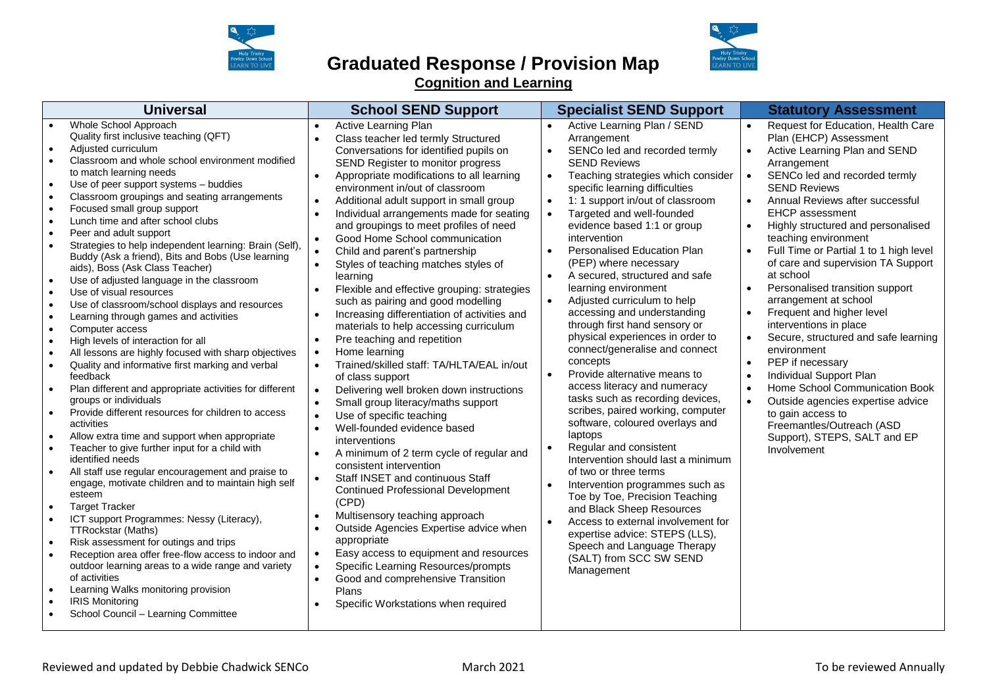

### **Graduated Response / Provision Map Cognition and Learning**



| <b>Universal</b>                                                                                                                                                                                                                                                                                                                                                                                                                                                                                                                                                                                                                                                                                                                                                                                                                                                                                                                                                                                                                                                                                                                                                                                                                                                                                                                                                                                                                                                                                                                                                                                                                                         | <b>School SEND Support</b>                                                                                                                                                                                                                                                                                                                                                                                                                                                                                                                                                                                                                                                                                                                                                                                                                                                                                                                                                                                                                                                                                                                                                                                                                                                                                                                                                                                                                                                                                                                                                                                                                                                                     | <b>Specialist SEND Support</b>                                                                                                                                                                                                                                                                                                                                                                                                                                                                                                                                                                                                                                                                                                                                                                                                                                                                                                                                                                                                                                                                                                                                         | <b>Statutory Assessment</b>                                                                                                                                                                                                                                                                                                                                                                                                                                                                                                                                                                                                                                                                                                                                                                                                                                                                                                                               |
|----------------------------------------------------------------------------------------------------------------------------------------------------------------------------------------------------------------------------------------------------------------------------------------------------------------------------------------------------------------------------------------------------------------------------------------------------------------------------------------------------------------------------------------------------------------------------------------------------------------------------------------------------------------------------------------------------------------------------------------------------------------------------------------------------------------------------------------------------------------------------------------------------------------------------------------------------------------------------------------------------------------------------------------------------------------------------------------------------------------------------------------------------------------------------------------------------------------------------------------------------------------------------------------------------------------------------------------------------------------------------------------------------------------------------------------------------------------------------------------------------------------------------------------------------------------------------------------------------------------------------------------------------------|------------------------------------------------------------------------------------------------------------------------------------------------------------------------------------------------------------------------------------------------------------------------------------------------------------------------------------------------------------------------------------------------------------------------------------------------------------------------------------------------------------------------------------------------------------------------------------------------------------------------------------------------------------------------------------------------------------------------------------------------------------------------------------------------------------------------------------------------------------------------------------------------------------------------------------------------------------------------------------------------------------------------------------------------------------------------------------------------------------------------------------------------------------------------------------------------------------------------------------------------------------------------------------------------------------------------------------------------------------------------------------------------------------------------------------------------------------------------------------------------------------------------------------------------------------------------------------------------------------------------------------------------------------------------------------------------|------------------------------------------------------------------------------------------------------------------------------------------------------------------------------------------------------------------------------------------------------------------------------------------------------------------------------------------------------------------------------------------------------------------------------------------------------------------------------------------------------------------------------------------------------------------------------------------------------------------------------------------------------------------------------------------------------------------------------------------------------------------------------------------------------------------------------------------------------------------------------------------------------------------------------------------------------------------------------------------------------------------------------------------------------------------------------------------------------------------------------------------------------------------------|-----------------------------------------------------------------------------------------------------------------------------------------------------------------------------------------------------------------------------------------------------------------------------------------------------------------------------------------------------------------------------------------------------------------------------------------------------------------------------------------------------------------------------------------------------------------------------------------------------------------------------------------------------------------------------------------------------------------------------------------------------------------------------------------------------------------------------------------------------------------------------------------------------------------------------------------------------------|
| Whole School Approach<br>Quality first inclusive teaching (QFT)<br>Adjusted curriculum<br>Classroom and whole school environment modified<br>to match learning needs<br>Use of peer support systems - buddies<br>Classroom groupings and seating arrangements<br>Focused small group support<br>Lunch time and after school clubs<br>Peer and adult support<br>Strategies to help independent learning: Brain (Self),<br>Buddy (Ask a friend), Bits and Bobs (Use learning<br>aids), Boss (Ask Class Teacher)<br>Use of adjusted language in the classroom<br>Use of visual resources<br>Use of classroom/school displays and resources<br>Learning through games and activities<br>Computer access<br>High levels of interaction for all<br>All lessons are highly focused with sharp objectives<br>Quality and informative first marking and verbal<br>feedback<br>Plan different and appropriate activities for different<br>groups or individuals<br>Provide different resources for children to access<br>activities<br>Allow extra time and support when appropriate<br>Teacher to give further input for a child with<br>identified needs<br>All staff use regular encouragement and praise to<br>engage, motivate children and to maintain high self<br>esteem<br><b>Target Tracker</b><br>ICT support Programmes: Nessy (Literacy),<br><b>TTRockstar (Maths)</b><br>Risk assessment for outings and trips<br>Reception area offer free-flow access to indoor and<br>outdoor learning areas to a wide range and variety<br>of activities<br>Learning Walks monitoring provision<br><b>IRIS Monitoring</b><br>School Council - Learning Committee | Active Learning Plan<br>$\bullet$<br>Class teacher led termly Structured<br>$\bullet$<br>Conversations for identified pupils on<br>SEND Register to monitor progress<br>Appropriate modifications to all learning<br>$\bullet$<br>environment in/out of classroom<br>Additional adult support in small group<br>$\bullet$<br>Individual arrangements made for seating<br>and groupings to meet profiles of need<br>Good Home School communication<br>$\bullet$<br>Child and parent's partnership<br>$\bullet$<br>Styles of teaching matches styles of<br>$\bullet$<br>learning<br>Flexible and effective grouping: strategies<br>$\bullet$<br>such as pairing and good modelling<br>Increasing differentiation of activities and<br>$\bullet$<br>materials to help accessing curriculum<br>Pre teaching and repetition<br>$\bullet$<br>Home learning<br>$\bullet$<br>Trained/skilled staff: TA/HLTA/EAL in/out<br>$\bullet$<br>of class support<br>Delivering well broken down instructions<br>$\bullet$<br>Small group literacy/maths support<br>$\bullet$<br>Use of specific teaching<br>$\bullet$<br>Well-founded evidence based<br>$\bullet$<br>interventions<br>A minimum of 2 term cycle of regular and<br>$\bullet$<br>consistent intervention<br>Staff INSET and continuous Staff<br>$\bullet$<br><b>Continued Professional Development</b><br>(CPD)<br>Multisensory teaching approach<br>$\bullet$<br>Outside Agencies Expertise advice when<br>$\bullet$<br>appropriate<br>Easy access to equipment and resources<br>$\bullet$<br>Specific Learning Resources/prompts<br>$\bullet$<br>Good and comprehensive Transition<br>$\bullet$<br>Plans<br>Specific Workstations when required | Active Learning Plan / SEND<br>$\bullet$<br>Arrangement<br>SENCo led and recorded termly<br><b>SEND Reviews</b><br>Teaching strategies which consider<br>specific learning difficulties<br>1: 1 support in/out of classroom<br>Targeted and well-founded<br>$\bullet$<br>evidence based 1:1 or group<br>intervention<br>Personalised Education Plan<br>$\bullet$<br>(PEP) where necessary<br>A secured, structured and safe<br>learning environment<br>Adjusted curriculum to help<br>accessing and understanding<br>through first hand sensory or<br>physical experiences in order to<br>connect/generalise and connect<br>concepts<br>Provide alternative means to<br>access literacy and numeracy<br>tasks such as recording devices,<br>scribes, paired working, computer<br>software, coloured overlays and<br>laptops<br>Regular and consistent<br>Intervention should last a minimum<br>of two or three terms<br>Intervention programmes such as<br>Toe by Toe, Precision Teaching<br>and Black Sheep Resources<br>Access to external involvement for<br>expertise advice: STEPS (LLS),<br>Speech and Language Therapy<br>(SALT) from SCC SW SEND<br>Management | Request for Education, Health Care<br>$\bullet$<br>Plan (EHCP) Assessment<br>Active Learning Plan and SEND<br>$\bullet$<br>Arrangement<br>SENCo led and recorded termly<br>$\bullet$<br><b>SEND Reviews</b><br>Annual Reviews after successful<br>$\bullet$<br><b>EHCP</b> assessment<br>Highly structured and personalised<br>$\bullet$<br>teaching environment<br>Full Time or Partial 1 to 1 high level<br>$\bullet$<br>of care and supervision TA Support<br>at school<br>Personalised transition support<br>$\bullet$<br>arrangement at school<br>Frequent and higher level<br>$\bullet$<br>interventions in place<br>Secure, structured and safe learning<br>$\bullet$<br>environment<br>PEP if necessary<br>$\bullet$<br>Individual Support Plan<br>Home School Communication Book<br>$\bullet$<br>Outside agencies expertise advice<br>$\bullet$<br>to gain access to<br>Freemantles/Outreach (ASD<br>Support), STEPS, SALT and EP<br>Involvement |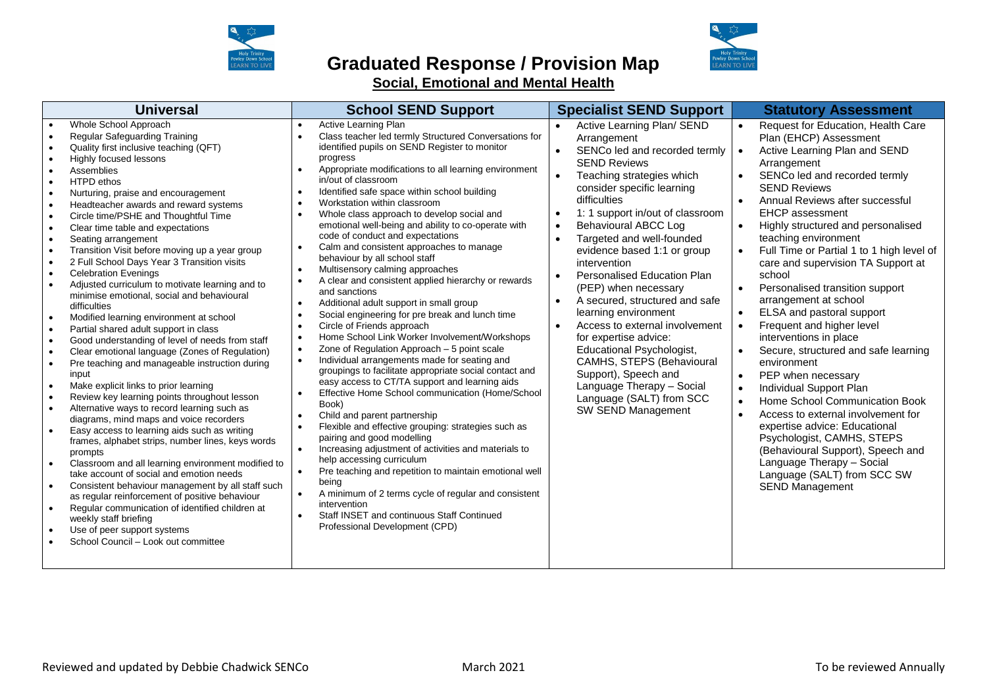

## **Graduated Response / Provision Map**



**Social, Emotional and Mental Health**

| <b>Universal</b>                                                                                                                                                                                                                                                                                                                                                                                                                                                                                                                                                                                                                                                                                                                                                                                                                                                                                                                                                                                                                                                                                                                                                                                                                                                                                                                                                                                                                                                                                                                                            | <b>School SEND Support</b>                                                                                                                                                                                                                                                                                                                                                                                                                                                                                                                                                                                                                                                                                                                                                                                                                                                                                                                                                                                                                                                                                                                                                                                                                                                                                                                                                                                                                                                                                                                                                                                                                                                                                                                                                                   | <b>Specialist SEND Support</b>                                                                                                                                                                                                                                                                                                                                                                                                                                                                                                                                                                                                                                                                                                | <b>Statutory Assessment</b>                                                                                                                                                                                                                                                                                                                                                                                                                                                                                                                                                                                                                                                                                                                                                                                                                                                                                                                                                                                                                                           |
|-------------------------------------------------------------------------------------------------------------------------------------------------------------------------------------------------------------------------------------------------------------------------------------------------------------------------------------------------------------------------------------------------------------------------------------------------------------------------------------------------------------------------------------------------------------------------------------------------------------------------------------------------------------------------------------------------------------------------------------------------------------------------------------------------------------------------------------------------------------------------------------------------------------------------------------------------------------------------------------------------------------------------------------------------------------------------------------------------------------------------------------------------------------------------------------------------------------------------------------------------------------------------------------------------------------------------------------------------------------------------------------------------------------------------------------------------------------------------------------------------------------------------------------------------------------|----------------------------------------------------------------------------------------------------------------------------------------------------------------------------------------------------------------------------------------------------------------------------------------------------------------------------------------------------------------------------------------------------------------------------------------------------------------------------------------------------------------------------------------------------------------------------------------------------------------------------------------------------------------------------------------------------------------------------------------------------------------------------------------------------------------------------------------------------------------------------------------------------------------------------------------------------------------------------------------------------------------------------------------------------------------------------------------------------------------------------------------------------------------------------------------------------------------------------------------------------------------------------------------------------------------------------------------------------------------------------------------------------------------------------------------------------------------------------------------------------------------------------------------------------------------------------------------------------------------------------------------------------------------------------------------------------------------------------------------------------------------------------------------------|-------------------------------------------------------------------------------------------------------------------------------------------------------------------------------------------------------------------------------------------------------------------------------------------------------------------------------------------------------------------------------------------------------------------------------------------------------------------------------------------------------------------------------------------------------------------------------------------------------------------------------------------------------------------------------------------------------------------------------|-----------------------------------------------------------------------------------------------------------------------------------------------------------------------------------------------------------------------------------------------------------------------------------------------------------------------------------------------------------------------------------------------------------------------------------------------------------------------------------------------------------------------------------------------------------------------------------------------------------------------------------------------------------------------------------------------------------------------------------------------------------------------------------------------------------------------------------------------------------------------------------------------------------------------------------------------------------------------------------------------------------------------------------------------------------------------|
| Whole School Approach<br>Regular Safeguarding Training<br>Quality first inclusive teaching (QFT)<br>Highly focused lessons<br>Assemblies<br><b>HTPD</b> ethos<br>Nurturing, praise and encouragement<br>Headteacher awards and reward systems<br>Circle time/PSHE and Thoughtful Time<br>Clear time table and expectations<br>Seating arrangement<br>Transition Visit before moving up a year group<br>2 Full School Days Year 3 Transition visits<br>$\bullet$<br><b>Celebration Evenings</b><br>Adjusted curriculum to motivate learning and to<br>minimise emotional, social and behavioural<br>difficulties<br>Modified learning environment at school<br>Partial shared adult support in class<br>Good understanding of level of needs from staff<br>Clear emotional language (Zones of Regulation)<br>Pre teaching and manageable instruction during<br>$\bullet$<br>input<br>Make explicit links to prior learning<br>$\bullet$<br>Review key learning points throughout lesson<br>Alternative ways to record learning such as<br>diagrams, mind maps and voice recorders<br>Easy access to learning aids such as writing<br>frames, alphabet strips, number lines, keys words<br>prompts<br>Classroom and all learning environment modified to<br>take account of social and emotion needs<br>Consistent behaviour management by all staff such<br>as regular reinforcement of positive behaviour<br>Regular communication of identified children at<br>weekly staff briefing<br>Use of peer support systems<br>School Council - Look out committee | Active Learning Plan<br>$\bullet$<br>Class teacher led termly Structured Conversations for<br>$\bullet$<br>identified pupils on SEND Register to monitor<br>progress<br>Appropriate modifications to all learning environment<br>in/out of classroom<br>Identified safe space within school building<br>$\bullet$<br>Workstation within classroom<br>$\bullet$<br>Whole class approach to develop social and<br>$\bullet$<br>emotional well-being and ability to co-operate with<br>code of conduct and expectations<br>Calm and consistent approaches to manage<br>$\bullet$<br>behaviour by all school staff<br>Multisensory calming approaches<br>$\bullet$<br>A clear and consistent applied hierarchy or rewards<br>$\bullet$<br>and sanctions<br>Additional adult support in small group<br>$\bullet$<br>Social engineering for pre break and lunch time<br>$\bullet$<br>Circle of Friends approach<br>$\bullet$<br>Home School Link Worker Involvement/Workshops<br>$\bullet$<br>Zone of Regulation Approach - 5 point scale<br>$\bullet$<br>Individual arrangements made for seating and<br>$\bullet$<br>groupings to facilitate appropriate social contact and<br>easy access to CT/TA support and learning aids<br>Effective Home School communication (Home/School<br>$\bullet$<br>Book)<br>Child and parent partnership<br>$\bullet$<br>Flexible and effective grouping: strategies such as<br>$\bullet$<br>pairing and good modelling<br>Increasing adjustment of activities and materials to<br>$\bullet$<br>help accessing curriculum<br>Pre teaching and repetition to maintain emotional well<br>being<br>A minimum of 2 terms cycle of regular and consistent<br>$\bullet$<br>intervention<br>Staff INSET and continuous Staff Continued<br>Professional Development (CPD) | Active Learning Plan/ SEND<br>Arrangement<br>SENCo led and recorded termly<br><b>SEND Reviews</b><br>Teaching strategies which<br>consider specific learning<br>difficulties<br>1: 1 support in/out of classroom<br>$\bullet$<br><b>Behavioural ABCC Log</b><br>$\bullet$<br>Targeted and well-founded<br>$\bullet$<br>evidence based 1:1 or group<br>intervention<br><b>Personalised Education Plan</b><br>(PEP) when necessary<br>A secured, structured and safe<br>learning environment<br>Access to external involvement<br>for expertise advice:<br><b>Educational Psychologist,</b><br>CAMHS, STEPS (Behavioural<br>Support), Speech and<br>Language Therapy - Social<br>Language (SALT) from SCC<br>SW SEND Management | Request for Education, Health Care<br>Plan (EHCP) Assessment<br>Active Learning Plan and SEND<br>$\bullet$<br>Arrangement<br>SENCo led and recorded termly<br><b>SEND Reviews</b><br>Annual Reviews after successful<br>$\bullet$<br><b>EHCP</b> assessment<br>Highly structured and personalised<br>$\bullet$<br>teaching environment<br>Full Time or Partial 1 to 1 high level of<br>care and supervision TA Support at<br>school<br>Personalised transition support<br>$\bullet$<br>arrangement at school<br>ELSA and pastoral support<br>$\bullet$<br>Frequent and higher level<br>$\bullet$<br>interventions in place<br>Secure, structured and safe learning<br>$\bullet$<br>environment<br>PEP when necessary<br>$\bullet$<br>Individual Support Plan<br>$\bullet$<br>Home School Communication Book<br>$\bullet$<br>Access to external involvement for<br>$\bullet$<br>expertise advice: Educational<br>Psychologist, CAMHS, STEPS<br>(Behavioural Support), Speech and<br>Language Therapy - Social<br>Language (SALT) from SCC SW<br><b>SEND Management</b> |